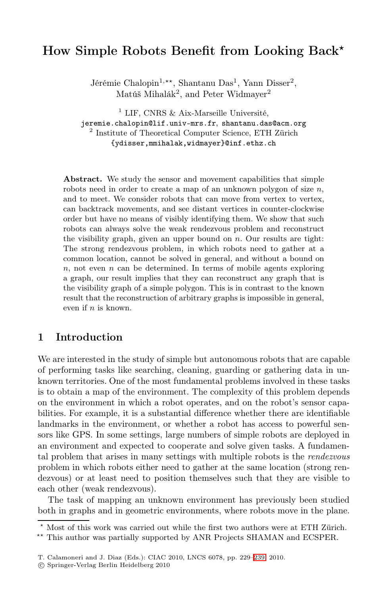# How Simple Robots Benefit from Looking Back\*

Jérémie Chalopin<sup>1,\*\*</sup>, Shantanu Das<sup>1</sup>, Yann Disser<sup>2</sup>, Matúš Mihalák<sup>2</sup>, and Peter Widmayer<sup>2</sup>

<sup>1</sup> LIF, CNRS & Aix-Marseille Université, jeremie.chalopin@lif.univ-mrs.fr, shantanu.das@acm.org <sup>2</sup> Institute of Theoretical Computer Science, ETH Zürich {ydisser,mmihalak,widmayer}@inf.ethz.ch

Abstract. We study the sensor and movement capabilities that simple robots need in order to create a map of an unknown polygon of size  $n$ , and to meet. We consider robots that can move from vertex to vertex, can backtrack movements, and see distant vertices in counter-clockwise order but have no means of visibly identifying them. We show that such robots can always solve the weak rendezvous problem and reconstruct the visibility graph, given an upper bound on  $n$ . Our results are tight: The strong rendezvous problem, in which robots need to gather at a common location, cannot be solved in general, and without a bound on  $n$ , not even n can be determined. In terms of mobile agents exploring a graph, our result implies that they can reconstruct any graph that is the visibility graph of a simple polygon. This is in contrast to the known result that the reconstruction of arbitrary graphs is impossible in general, even if  $n$  is known.

## 1 Introduction

We are interested in the study of simple but autonomous robots that are capable of performing tasks like searching, cleaning, guarding or gathering data in unknown territories. One of the most fundamental problems involved in these tasks is to obtain a map of the environment. The complexity of this problem depends on the environment in which a robot operates, and on the robot's sensor capabilities. For example, it is a substantial difference whether there are identifiable landmarks in the environment, or whether a robot has access to powerful sensors like GPS. In some settings, large numbers of simple robots are deployed in an environment and expected to cooperate and solve given tasks. A fundamental problem that arises in many settings with multiple robots is the rendezvous problem in which robots either need to gather at the same location (strong rendezvous) or at least need to position themselves such that they are visible to each other (weak rendezvous).

The task of mapping an unknown environment has previously been studied both in graphs and in geometric environments, where robots move in the plane.

 $^\star$  Most of this work was carried out while the first two authors were at ETH Zürich.

\*\* This author was partially supported by ANR Projects SHAMAN and ECSPER.

T. Calamoneri and J. Diaz (Eds.): CIAC 2010, LNCS 6078, pp. 229[–239,](#page-10-0) 2010.

<sup>!</sup>c Springer-Verlag Berlin Heidelberg 2010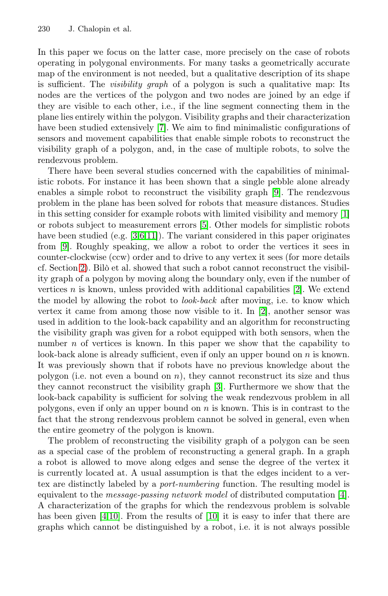In this paper we focus on the latter case, more precisely on the case of robots operating in polygonal environments. For many tasks a geometrically accurate map of the environment is not needed, but a qualitative description of its shape is sufficient. The *visibility graph* of a polygon is such a qualitative map: Its nodes are the vertices of the polygon and two nodes are joined by an edge if they are visible to each other, i.e., if the line segment connecting them in the plane lies entirely within the polygon. Visibility graphs and their characterization have been studied extensively [\[7\]](#page-10-2). We aim to find minimalistic configurations of sensors and movement capabilities that enable simple robots to reconstruct the visibility graph of a polygon, and, in the case of multiple robots, to solve the rendezvous problem.

There have been several studies concerned with the capabilities of minimalistic robots. For instance it has been shown that a single pebble alone already enables a simple robot to reconstruct the visibility graph [\[9\]](#page-10-3). The rendezvous problem in the plane has been solved for robots that measure distances. Studies in this setting consider for example robots with limited visibility and memory [\[1\]](#page-9-0) or robots subject to measurement errors [\[5\]](#page-10-4). Other models for simplistic robots have been studied (e.g. [\[3](#page-9-1)[,6,](#page-10-5)[11\]](#page-10-6)). The variant considered in this paper originates from [\[9\]](#page-10-3). Roughly speaking, we allow a robot to order the vertices it sees in counter-clockwise (ccw) order and to drive to any vertex it sees (for more details cf. Section [2\)](#page-2-0). Bilò et al. showed that such a robot cannot reconstruct the visibility graph of a polygon by moving along the boundary only, even if the number of vertices  $n$  is known, unless provided with additional capabilities  $[2]$ . We extend the model by allowing the robot to look-back after moving, i.e. to know which vertex it came from among those now visible to it. In [\[2\]](#page-9-2), another sensor was used in addition to the look-back capability and an algorithm for reconstructing the visibility graph was given for a robot equipped with both sensors, when the number  $n$  of vertices is known. In this paper we show that the capability to look-back alone is already sufficient, even if only an upper bound on n is known. It was previously shown that if robots have no previous knowledge about the polygon (i.e. not even a bound on  $n$ ), they cannot reconstruct its size and thus they cannot reconstruct the visibility graph [\[3\]](#page-9-1). Furthermore we show that the look-back capability is sufficient for solving the weak rendezvous problem in all polygons, even if only an upper bound on  $n$  is known. This is in contrast to the fact that the strong rendezvous problem cannot be solved in general, even when the entire geometry of the polygon is known.

The problem of reconstructing the visibility graph of a polygon can be seen as a special case of the problem of reconstructing a general graph. In a graph a robot is allowed to move along edges and sense the degree of the vertex it is currently located at. A usual assumption is that the edges incident to a vertex are distinctly labeled by a port-numbering function. The resulting model is equivalent to the message-passing network model of distributed computation [\[4\]](#page-10-7). A characterization of the graphs for which the rendezvous problem is solvable has been given [\[4,](#page-10-7)[10\]](#page-10-1). From the results of [\[10\]](#page-10-1) it is easy to infer that there are graphs which cannot be distinguished by a robot, i.e. it is not always possible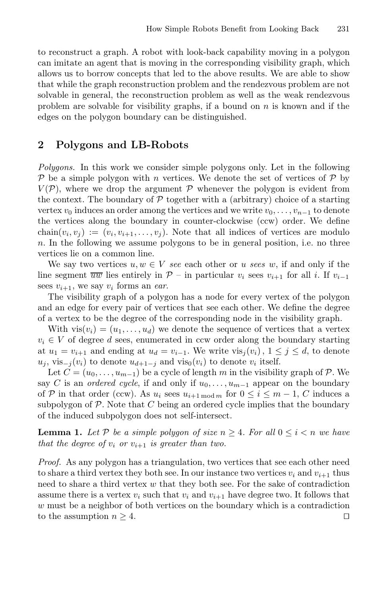<span id="page-2-0"></span>to reconstruct a graph. A robot with look-back capability moving in a polygon can imitate an agent that is moving in the corresponding visibility graph, which allows us to borrow concepts that led to the above results. We are able to show that while the graph reconstruction problem and the rendezvous problem are not solvable in general, the reconstruction problem as well as the weak rendezvous problem are solvable for visibility graphs, if a bound on  $n$  is known and if the edges on the polygon boundary can be distinguished.

#### 2 Polygons and LB-Robots

Polygons. In this work we consider simple polygons only. Let in the following  $P$  be a simple polygon with n vertices. We denote the set of vertices of  $P$  by  $V(\mathcal{P})$ , where we drop the argument  $\mathcal P$  whenever the polygon is evident from the context. The boundary of  $P$  together with a (arbitrary) choice of a starting vertex  $v_0$  induces an order among the vertices and we write  $v_0, \ldots, v_{n-1}$  to denote the vertices along the boundary in counter-clockwise (ccw) order. We define chain $(v_i, v_j) := (v_i, v_{i+1}, \ldots, v_j)$ . Note that all indices of vertices are modulo n. In the following we assume polygons to be in general position, i.e. no three vertices lie on a common line.

We say two vertices  $u, w \in V$  see each other or u sees w, if and only if the line segment  $\overline{uw}$  lies entirely in  $\mathcal{P}$  – in particular  $v_i$  sees  $v_{i+1}$  for all i. If  $v_{i-1}$ sees  $v_{i+1}$ , we say  $v_i$  forms an *ear*.

The visibility graph of a polygon has a node for every vertex of the polygon and an edge for every pair of vertices that see each other. We define the degree of a vertex to be the degree of the corresponding node in the visibility graph.

<span id="page-2-1"></span>With  $vis(v_i) = (u_1, \ldots, u_d)$  we denote the sequence of vertices that a vertex  $v_i \in V$  of degree d sees, enumerated in ccw order along the boundary starting at  $u_1 = v_{i+1}$  and ending at  $u_d = v_{i-1}$ . We write  $\text{vis}_j(v_i)$ ,  $1 \leq j \leq d$ , to denote  $u_j$ , vis<sub>−j</sub> $(v_i)$  to denote  $u_{d+1-j}$  and vis<sub>0</sub> $(v_i)$  to denote  $v_i$  itself.

Let  $C = (u_0, \ldots, u_{m-1})$  be a cycle of length m in the visibility graph of P. We say C is an *ordered cycle*, if and only if  $u_0, \ldots, u_{m-1}$  appear on the boundary of P in that order (ccw). As  $u_i$  sees  $u_{i+1 \mod m}$  for  $0 \leq i \leq m-1$ , C induces a subpolygon of  $P$ . Note that  $C$  being an ordered cycle implies that the boundary of the induced subpolygon does not self-intersect.

**Lemma 1.** Let P be a simple polygon of size  $n \geq 4$ . For all  $0 \leq i \leq n$  we have that the degree of  $v_i$  or  $v_{i+1}$  is greater than two.

Proof. As any polygon has a triangulation, two vertices that see each other need to share a third vertex they both see. In our instance two vertices  $v_i$  and  $v_{i+1}$  thus need to share a third vertex  $w$  that they both see. For the sake of contradiction assume there is a vertex  $v_i$  such that  $v_i$  and  $v_{i+1}$  have degree two. It follows that w must be a neighbor of both vertices on the boundary which is a contradiction to the assumption  $n \geq 4$ .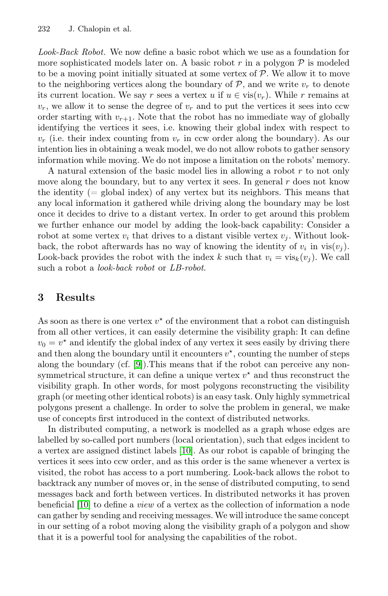Look-Back Robot. We now define a basic robot which we use as a foundation for more sophisticated models later on. A basic robot r in a polygon  $P$  is modeled to be a moving point initially situated at some vertex of  $P$ . We allow it to move to the neighboring vertices along the boundary of  $P$ , and we write  $v_r$  to denote its current location. We say r sees a vertex u if  $u \in \text{vis}(v_r)$ . While r remains at  $v_r$ , we allow it to sense the degree of  $v_r$  and to put the vertices it sees into ccw order starting with  $v_{r+1}$ . Note that the robot has no immediate way of globally identifying the vertices it sees, i.e. knowing their global index with respect to  $v_r$  (i.e. their index counting from  $v_r$  in ccw order along the boundary). As our intention lies in obtaining a weak model, we do not allow robots to gather sensory information while moving. We do not impose a limitation on the robots' memory.

A natural extension of the basic model lies in allowing a robot r to not only move along the boundary, but to any vertex it sees. In general  $r$  does not know the identity  $(=$  global index) of any vertex but its neighbors. This means that any local information it gathered while driving along the boundary may be lost once it decides to drive to a distant vertex. In order to get around this problem we further enhance our model by adding the look-back capability: Consider a robot at some vertex  $v_i$  that drives to a distant visible vertex  $v_i$ . Without lookback, the robot afterwards has no way of knowing the identity of  $v_i$  in vis $(v_j)$ . Look-back provides the robot with the index k such that  $v_i = \text{vis}_k(v_i)$ . We call such a robot a *look-back robot* or *LB-robot*.

### 3 Results

As soon as there is one vertex  $v^*$  of the environment that a robot can distinguish from all other vertices, it can easily determine the visibility graph: It can define  $v_0 = v^*$  and identify the global index of any vertex it sees easily by driving there and then along the boundary until it encounters  $v^*$ , counting the number of steps along the boundary (cf. [\[9\]](#page-10-3)).This means that if the robot can perceive any nonsymmetrical structure, it can define a unique vertex  $v^*$  and thus reconstruct the visibility graph. In other words, for most polygons reconstructing the visibility graph (or meeting other identical robots) is an easy task. Only highly symmetrical polygons present a challenge. In order to solve the problem in general, we make use of concepts first introduced in the context of distributed networks.

In distributed computing, a network is modelled as a graph whose edges are labelled by so-called port numbers (local orientation), such that edges incident to a vertex are assigned distinct labels [\[10\]](#page-10-1). As our robot is capable of bringing the vertices it sees into ccw order, and as this order is the same whenever a vertex is visited, the robot has access to a port numbering. Look-back allows the robot to backtrack any number of moves or, in the sense of distributed computing, to send messages back and forth between vertices. In distributed networks it has proven beneficial [\[10\]](#page-10-1) to define a view of a vertex as the collection of information a node can gather by sending and receiving messages. We will introduce the same concept in our setting of a robot moving along the visibility graph of a polygon and show that it is a powerful tool for analysing the capabilities of the robot.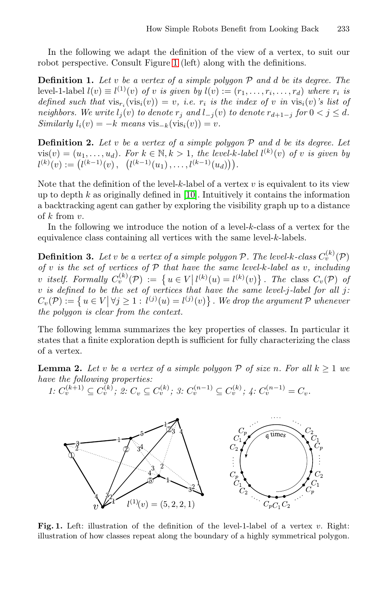In the following we adapt the definition of the view of a vertex, to suit our robot perspective. Consult Figure [1](#page-4-0) (left) along with the definitions.

**Definition 1.** Let v be a vertex of a simple polygon  $P$  and d be its degree. The level-1-label  $l(v) \equiv l^{(1)}(v)$  of v is given by  $l(v) := (r_1, \ldots, r_i, \ldots, r_d)$  where  $r_i$  is defined such that  $\text{vis}_r(\text{vis}_i(v)) = v$ , i.e.  $r_i$  is the index of v in  $\text{vis}_i(v)$ 's list of neighbors. We write  $l_j(v)$  to denote  $r_j$  and  $l_{-j}(v)$  to denote  $r_{d+1-j}$  for  $0 < j \le d$ . Similarly  $l_i(v) = -k$  means  $vis_{-k}(vis_i(v)) = v$ .

**Definition 2.** Let v be a vertex of a simple polygon  $P$  and d be its degree. Let  $\text{vis}(v) = (u_1, \ldots, u_d)$ . For  $k \in \mathbb{N}, k > 1$ , the level-k-label  $l^{(k)}(v)$  of v is given by  $l^{(k)}(v) := (l^{(k-1)}(v), \; (l^{(k-1)}(u_1), \ldots, l^{(k-1)}(u_d))).$ 

Note that the definition of the level-k-label of a vertex  $v$  is equivalent to its view up to depth  $k$  as originally defined in [\[10\]](#page-10-1). Intuitively it contains the information a backtracking agent can gather by exploring the visibility graph up to a distance of  $k$  from  $v$ .

In the following we introduce the notion of a level-k-class of a vertex for the equivalence class containing all vertices with the same level-k-labels.

<span id="page-4-1"></span>**Definition 3.** Let v be a vertex of a simple polygon P. The level-k-class  $C_v^{(k)}(\mathcal{P})$ of v is the set of vertices of  $P$  that have the same level-k-label as v, including v itself. Formally  $C_v^{(k)}(\mathcal{P}) := \{u \in V \mid l^{(k)}(u) = l^{(k)}(v)\}$ . The class  $C_v(\mathcal{P})$  of  $v$  is defined to be the set of vertices that have the same level-j-label for all j:  $C_v(\mathcal{P}) := \{ u \in V \mid \forall j \geq 1 : l^{(j)}(u) = l^{(j)}(v) \}$ . We drop the argument  $\mathcal{P}$  whenever the polygon is clear from the context.

The following lemma summarizes the key properties of classes. In particular it states that a finite exploration depth is sufficient for fully characterizing the class of a vertex.

**Lemma 2.** Let v be a vertex of a simple polygon  $P$  of size n. For all  $k \geq 1$  we have the following properties:

 $1: C_v^{(k+1)} \subseteq C_v^{(k)}$ ;  $2: C_v \subseteq C_v^{(k)}$ ;  $3: C_v^{(n-1)} \subset C_v^{(k)}$ ;  $4: C_v^{(n-1)} = C_v$ .

<span id="page-4-0"></span>

Fig. 1. Left: illustration of the definition of the level-1-label of a vertex v. Right: illustration of how classes repeat along the boundary of a highly symmetrical polygon.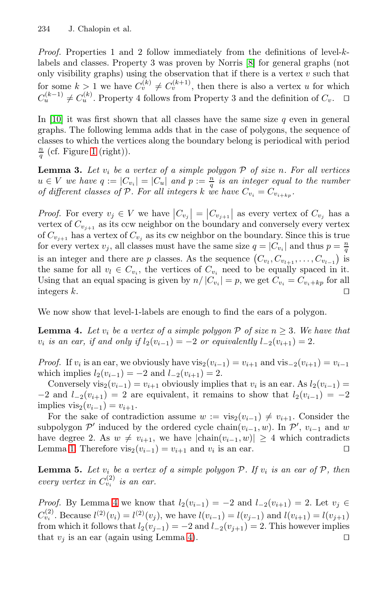<span id="page-5-2"></span>*Proof.* Properties 1 and 2 follow immediately from the definitions of level- $k$ labels and classes. Property 3 was proven by Norris [\[8\]](#page-10-8) for general graphs (not only visibility graphs) using the observation that if there is a vertex  $v$  such that for some  $k > 1$  we have  $C_v^{(k)} \neq C_v^{(k+1)}$ , then there is also a vertex u for which  $C_n^{(k-1)} \neq C_n^{(k)}$ . Property 4 follows from Property 3 and the definition of  $C_v$ .  $\Box$ 

In [\[10\]](#page-10-1) it was first shown that all classes have the same size q even in general graphs. The following lemma adds that in the case of polygons, the sequence of classes to which the vertices along the boundary belong is periodical with period  $\frac{n}{q}$  (cf. Figure [1](#page-4-0) (right)).

**Lemma 3.** Let  $v_i$  be a vertex of a simple polygon  $P$  of size n. For all vertices  $u \in V$  we have  $q := |C_{v_i}| = |C_u|$  and  $p := \frac{n}{q}$  is an integer equal to the number of different classes of  $P$ . For all integers k we have  $C_{v_i} = C_{v_{i+kp}}$ .

<span id="page-5-0"></span>*Proof.* For every  $v_j \in V$  we have  $|C_{v_j}| = |C_{v_{j+1}}|$  as every vertex of  $C_{v_j}$  has a vertex of  $C_{v_{j+1}}$  as its ccw neighbor on the boundary and conversely every vertex of  $C_{v_{j+1}}$  has a vertex of  $C_{v_j}$  as its cw neighbor on the boundary. Since this is true for every vertex  $v_j$ , all classes must have the same size  $q = |C_{v_i}|$  and thus  $p = \frac{n}{q}$ is an integer and there are p classes. As the sequence  $(C_{v_l}, C_{v_{l+1}}, \ldots, C_{v_{l-1}})$  is the same for all  $v_l \in C_{v_i}$ , the vertices of  $C_{v_i}$  need to be equally spaced in it. Using that an equal spacing is given by  $n/|C_{v_i}| = p$ , we get  $C_{v_i} = C_{v_i+kp}$  for all integers k. integers k.  $\Box$ 

We now show that level-1-labels are enough to find the ears of a polygon.

**Lemma 4.** Let  $v_i$  be a vertex of a simple polygon  $P$  of size  $n \geq 3$ . We have that  $v_i$  is an ear, if and only if  $l_2(v_{i-1}) = -2$  or equivalently  $l_{-2}(v_{i+1}) = 2$ .

*Proof.* If  $v_i$  is an ear, we obviously have  $vis_2(v_{i-1}) = v_{i+1}$  and  $vis_{-2}(v_{i+1}) = v_{i-1}$ which implies  $l_2(v_{i-1}) = -2$  and  $l_{-2}(v_{i+1}) = 2$ .

<span id="page-5-1"></span>Conversely vis<sub>2</sub> $(v_{i-1}) = v_{i+1}$  obviously implies that  $v_i$  is an ear. As  $l_2(v_{i-1}) =$  $-2$  and  $l_{-2}(v_{i+1}) = 2$  are equivalent, it remains to show that  $l_2(v_{i-1}) = -2$ implies vis<sub>2</sub> $(v_{i-1}) = v_{i+1}$ .

For the sake of contradiction assume  $w := \text{vis}_2(v_{i-1}) \neq v_{i+1}$ . Consider the subpolygon  $\mathcal{P}'$  induced by the ordered cycle chain $(v_{i-1}, w)$ . In  $\mathcal{P}'$ ,  $v_{i-1}$  and w have degree 2. As  $w \neq v_{i+1}$ , we have  $|chain(v_{i-1}, w)| \geq 4$  which contradicts Lemma 1. Therefore  $vis_2(v_{i-1}) = v_{i+1}$  and  $v_i$  is an ear. Lemma [1.](#page-2-1) Therefore  $vis_2(v_{i-1}) = v_{i+1}$  and  $v_i$  is an ear.

**Lemma 5.** Let  $v_i$  be a vertex of a simple polygon  $P$ . If  $v_i$  is an ear of  $P$ , then every vertex in  $C_{v_i}^{(2)}$  is an ear.

*Proof.* By Lemma [4](#page-5-0) we know that  $l_2(v_{i-1}) = -2$  and  $l_{-2}(v_{i+1}) = 2$ . Let  $v_j \in$  $C_{v_i}^{(2)}$ . Because  $l^{(2)}(v_i) = l^{(2)}(v_j)$ , we have  $l(v_{i-1}) = l(v_{j-1})$  and  $l(v_{i+1}) = l(v_{j+1})$ from which it follows that  $l_2(v_{j-1}) = -2$  and  $l_{-2}(v_{j+1}) = 2$ . This however implies that  $v_i$  is an ear (again using Lemma 4). that  $v_i$  is an ear (again using Lemma [4\)](#page-5-0).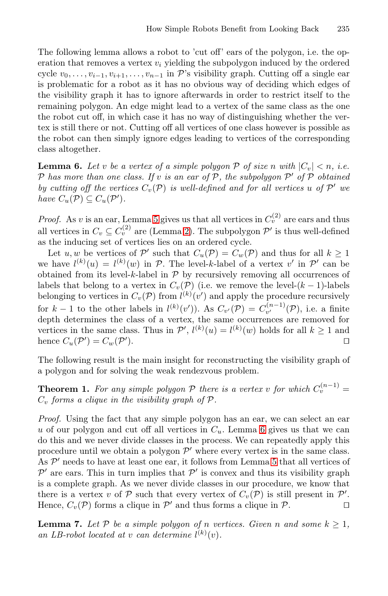<span id="page-6-0"></span>The following lemma allows a robot to 'cut off' ears of the polygon, i.e. the operation that removes a vertex  $v_i$  yielding the subpolygon induced by the ordered cycle  $v_0, \ldots, v_{i-1}, v_{i+1}, \ldots, v_{n-1}$  in P's visibility graph. Cutting off a single ear is problematic for a robot as it has no obvious way of deciding which edges of the visibility graph it has to ignore afterwards in order to restrict itself to the remaining polygon. An edge might lead to a vertex of the same class as the one the robot cut off, in which case it has no way of distinguishing whether the vertex is still there or not. Cutting off all vertices of one class however is possible as the robot can then simply ignore edges leading to vertices of the corresponding class altogether.

**Lemma 6.** Let v be a vertex of a simple polygon  $P$  of size n with  $|C_v| < n$ , i.e. P has more than one class. If v is an ear of P, the subpolygon  $P'$  of P obtained by cutting off the vertices  $C_v(\mathcal{P})$  is well-defined and for all vertices u of  $\mathcal{P}'$  we have  $C_u(\mathcal{P}) \subseteq C_u(\mathcal{P}')$ .

*Proof.* As v is an ear, Lemma [5](#page-5-1) gives us that all vertices in  $C_v^{(2)}$  are ears and thus all vertices in  $C_v \subseteq C_v^{(2)}$  are (Lemma [2\)](#page-4-1). The subpolygon  $\mathcal{P}'$  is thus well-defined as the inducing set of vertices lies on an ordered cycle.

<span id="page-6-2"></span>Let u, w be vertices of P' such that  $C_u(\mathcal{P}) = C_w(\mathcal{P})$  and thus for all  $k \geq 1$ we have  $l^{(k)}(u) = l^{(k)}(w)$  in P. The level-k-label of a vertex  $v'$  in P' can be obtained from its level-k-label in  $P$  by recursively removing all occurrences of labels that belong to a vertex in  $C_v(\mathcal{P})$  (i.e. we remove the level- $(k-1)$ -labels belonging to vertices in  $C_v(\mathcal{P})$  from  $l^{(k)}(v')$  and apply the procedure recursively for  $k-1$  to the other labels in  $l^{(k)}(v')$ ). As  $C_{v'}(\mathcal{P}) = C_{v'}^{(n-1)}(\mathcal{P})$ , i.e. a finite depth determines the class of a vertex, the same occurrences are removed for vertices in the same class. Thus in  $\mathcal{P}', l^{(k)}(u) = l^{(k)}(w)$  holds for all  $k \geq 1$  and hence  $C_u(\mathcal{P}') = C_w(\mathcal{P}')$ ).  $\Box$ 

The following result is the main insight for reconstructing the visibility graph of a polygon and for solving the weak rendezvous problem.

**Theorem 1.** For any simple polygon  $P$  there is a vertex v for which  $C_v^{(n-1)}$  =  $C_v$  forms a clique in the visibility graph of  $\mathcal{P}$ .

<span id="page-6-1"></span>Proof. Using the fact that any simple polygon has an ear, we can select an ear u of our polygon and cut off all vertices in  $C_u$ . Lemma [6](#page-6-0) gives us that we can do this and we never divide classes in the process. We can repeatedly apply this procedure until we obtain a polygon  $\mathcal{P}'$  where every vertex is in the same class. As  $\mathcal{P}'$  needs to have at least one ear, it follows from Lemma [5](#page-5-1) that all vertices of  $\mathcal{P}'$  are ears. This in turn implies that  $\mathcal{P}'$  is convex and thus its visibility graph is a complete graph. As we never divide classes in our procedure, we know that there is a vertex v of  $P$  such that every vertex of  $C_v(P)$  is still present in  $P'$ . Hence,  $C_v(\mathcal{P})$  forms a clique in  $\mathcal{P}'$  and thus forms a clique in  $\mathcal{P}$ .

**Lemma 7.** Let P be a simple polygon of n vertices. Given n and some  $k \geq 1$ , an LB-robot located at v can determine  $l^{(k)}(v)$ .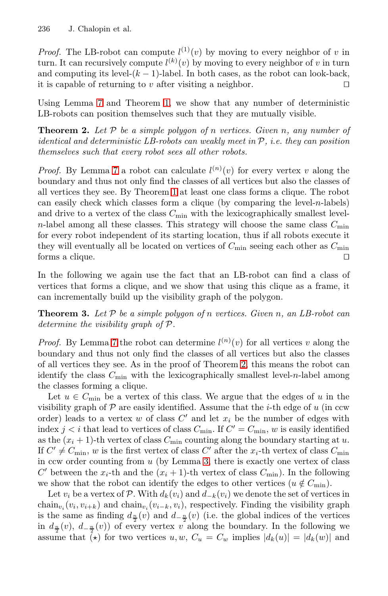<span id="page-7-0"></span>*Proof.* The LB-robot can compute  $l^{(1)}(v)$  by moving to every neighbor of v in turn. It can recursively compute  $l^{(k)}(v)$  by moving to every neighbor of v in turn and computing its level-(k – 1)-label. In both cases, as the robot can look-back, it is capable of returning to v after visiting a neighbor. it is capable of returning to  $v$  after visiting a neighbor.

Using Lemma [7](#page-6-1) and Theorem [1,](#page-6-2) we show that any number of deterministic LB-robots can position themselves such that they are mutually visible.

**Theorem 2.** Let  $P$  be a simple polygon of n vertices. Given n, any number of identical and deterministic LB-robots can weakly meet in  $P$ , i.e. they can position themselves such that every robot sees all other robots.

<span id="page-7-1"></span>*Proof.* By Lemma [7](#page-6-1) a robot can calculate  $l^{(n)}(v)$  for every vertex v along the boundary and thus not only find the classes of all vertices but also the classes of all vertices they see. By Theorem [1](#page-6-2) at least one class forms a clique. The robot can easily check which classes form a clique (by comparing the level- $n$ -labels) and drive to a vertex of the class  $C_{\text{min}}$  with the lexicographically smallest leveln-label among all these classes. This strategy will choose the same class  $C_{\min}$ for every robot independent of its starting location, thus if all robots execute it they will eventually all be located on vertices of  $C_{\text{min}}$  seeing each other as  $C_{\text{min}}$ forms a clique.  $\Box$ 

In the following we again use the fact that an LB-robot can find a class of vertices that forms a clique, and we show that using this clique as a frame, it can incrementally build up the visibility graph of the polygon.

**Theorem 3.** Let  $P$  be a simple polygon of n vertices. Given n, an LB-robot can determine the visibility graph of P.

*Proof.* By Lemma [7](#page-6-1) the robot can determine  $l^{(n)}(v)$  for all vertices v along the boundary and thus not only find the classes of all vertices but also the classes of all vertices they see. As in the proof of Theorem [2,](#page-7-0) this means the robot can identify the class  $C_{\text{min}}$  with the lexicographically smallest level-n-label among the classes forming a clique.

Let  $u \in C_{\text{min}}$  be a vertex of this class. We argue that the edges of u in the visibility graph of  $P$  are easily identified. Assume that the *i*-th edge of  $u$  (in ccw order) leads to a vertex w of class  $C'$  and let  $x_i$  be the number of edges with index  $j < i$  that lead to vertices of class  $C_{\text{min}}$ . If  $C' = C_{\text{min}}$ , w is easily identified as the  $(x_i + 1)$ -th vertex of class  $C_{\text{min}}$  counting along the boundary starting at u. If  $C' \neq C_{\text{min}}$ , w is the first vertex of class  $C'$  after the  $x_i$ -th vertex of class  $C_{\text{min}}$ in ccw order counting from  $u$  (by Lemma [3,](#page-5-2) there is exactly one vertex of class C' between the  $x_i$ -th and the  $(x_i + 1)$ -th vertex of class  $C_{\min}$ ). In the following we show that the robot can identify the edges to other vertices  $(u \notin C_{\text{min}})$ .

Let  $v_i$  be a vertex of P. With  $d_k(v_i)$  and  $d_{-k}(v_i)$  we denote the set of vertices in chain<sub>vi</sub>  $(v_i, v_{i+k})$  and chain<sub>vi</sub>  $(v_{i-k}, v_i)$ , respectively. Finding the visibility graph is the same as finding  $d_{\frac{n}{2}}(v)$  and  $d_{-\frac{n}{2}}(v)$  (i.e. the global indices of the vertices in  $d_{\frac{n}{2}}(v)$ ,  $d_{-\frac{n}{2}}(v)$  of every vertex v along the boundary. In the following we assume that  $(\star)$  for two vertices  $u, w, C_u = C_w$  implies  $|d_k(u)| = |d_k(w)|$  and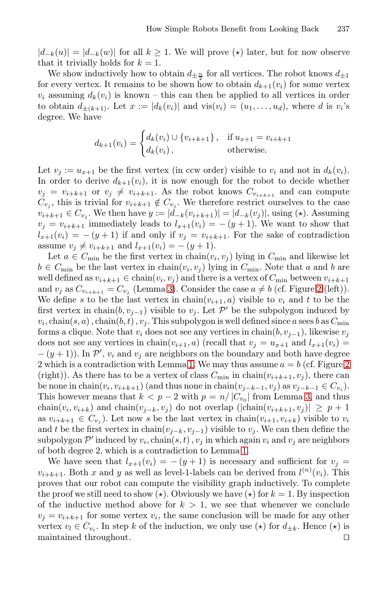$|d_{-k}(u)| = |d_{-k}(w)|$  for all  $k \geq 1$ . We will prove (\*) later, but for now observe that it trivially holds for  $k = 1$ .

We show inductively how to obtain  $d_{\pm \frac{n}{2}}$  for all vertices. The robot knows  $d_{\pm 1}$ for every vertex. It remains to be shown how to obtain  $d_{k+1}(v_i)$  for some vertex  $v_i$  assuming  $d_k(v_i)$  is known – this can then be applied to all vertices in order to obtain  $d_{\pm(k+1)}$ . Let  $x := |d_k(v_i)|$  and  $vis(v_i) = (u_1, \ldots, u_d)$ , where d is  $v_i$ 's degree. We have

$$
d_{k+1}(v_i) = \begin{cases} d_k(v_i) \cup \{v_{i+k+1}\}, & \text{if } u_{x+1} = v_{i+k+1} \\ d_k(v_i), & \text{otherwise.} \end{cases}
$$

Let  $v_j := u_{x+1}$  be the first vertex (in ccw order) visible to  $v_i$  and not in  $d_k(v_i)$ . In order to derive  $d_{k+1}(v_i)$ , it is now enough for the robot to decide whether  $v_j = v_{i+k+1}$  or  $v_j \neq v_{i+k+1}$ . As the robot knows  $C_{v_{i+k+1}}$  and can compute  $C_{v_i}$ , this is trivial for  $v_{i+k+1} \notin C_{v_i}$ . We therefore restrict ourselves to the case  $v_{i+k+1} \in C_{v_i}$ . We then have  $y := |\dot{d}_{-k}(v_{i+k+1})| = |d_{-k}(v_i)|$ , using  $(\star)$ . Assuming  $v_j = v_{i+k+1}$  immediately leads to  $l_{x+1}(v_i) = -(y+1)$ . We want to show that  $l_{x+1}(v_i) = -(y+1)$  if and only if  $v_j = v_{i+k+1}$ . For the sake of contradiction assume  $v_j \neq v_{i+k+1}$  and  $l_{x+1}(v_i) = -(y+1)$ .

Let  $a \in C_{\text{min}}$  be the first vertex in chain $(v_i, v_j)$  lying in  $C_{\text{min}}$  and likewise let  $b \in C_{\min}$  be the last vertex in chain $(v_i, v_j)$  lying in  $C_{\min}$ . Note that a and b are well defined as  $v_{i+k+1} \in \text{chain}(v_i, v_j)$  and there is a vertex of  $C_{\text{min}}$  between  $v_{i+k+1}$ and  $v_j$  as  $C_{v_{i+k+1}} = C_{v_j}$  (Lemma [3\)](#page-5-2). Consider the case  $a \neq b$  (cf. Figure [2](#page-9-3) (left)). We define s to be the last vertex in chain $(v_{i+1}, a)$  visible to  $v_i$  and t to be the first vertex in chain $(b, v_{i-1})$  visible to  $v_i$ . Let P' be the subpolygon induced by  $v_i$ , chain $(s, a)$ , chain $(b, t)$ ,  $v_i$ . This subpolygon is well defined since a sees b as  $C_{\min}$ forms a clique. Note that  $v_i$  does not see any vertices in chain $(b, v_{i-1})$ , likewise  $v_i$ does not see any vertices in chain $(v_{i+1}, a)$  (recall that  $v_j = u_{x+1}$  and  $l_{x+1}(v_i) =$  $-(y+1)$ ). In P',  $v_i$  and  $v_j$  are neighbors on the boundary and both have degree 2 which is a contradiction with Lemma [1.](#page-2-1) We may thus assume  $a = b$  (cf. Figure [2](#page-9-3)) (right)). As there has to be a vertex of class  $C_{\min}$  in chain $(v_{i+k+1}, v_i)$ , there can be none in chain $(v_i, v_{i+k+1})$  (and thus none in chain $(v_{j-k-1}, v_j)$  as  $v_{j-k-1} \in C_{v_i}$ ). This however means that  $k < p - 2$  with  $p = n / |C_{v_0}|$  from Lemma [3,](#page-5-2) and thus chain $(v_i, v_{i+k})$  and chain $(v_{i-k}, v_j)$  do not overlap  $(|\text{chain}(v_{i+k+1}, v_j)| \geq p+1)$ as  $v_{i+k+1} \in C_{v_i}$ ). Let now s be the last vertex in chain $(v_{i+1}, v_{i+k})$  visible to  $v_i$ and t be the first vertex in chain $(v_{i-k}, v_{i-1})$  visible to  $v_i$ . We can then define the subpolygon  $\mathcal{P}'$  induced by  $v_i$ , chain $(s, t)$ ,  $v_j$  in which again  $v_i$  and  $v_j$  are neighbors of both degree 2, which is a contradiction to Lemma [1.](#page-2-1)

We have seen that  $l_{x+1}(v_i) = -(y+1)$  is necessary and sufficient for  $v_j =$  $v_{i+k+1}$ . Both x and y as well as level-1-labels can be derived from  $l^{(n)}(v_i)$ . This proves that our robot can compute the visibility graph inductively. To complete the proof we still need to show  $(\star)$ . Obviously we have  $(\star)$  for  $k = 1$ . By inspection of the inductive method above for  $k > 1$ , we see that whenever we conclude  $v_i = v_{i+k+1}$  for some vertex  $v_i$ , the same conclusion will be made for any other vertex  $v_l \in C_{v_i}$ . In step k of the induction, we only use  $(\star)$  for  $d_{\pm k}$ . Hence  $(\star)$  is maintained throughout. maintained throughout.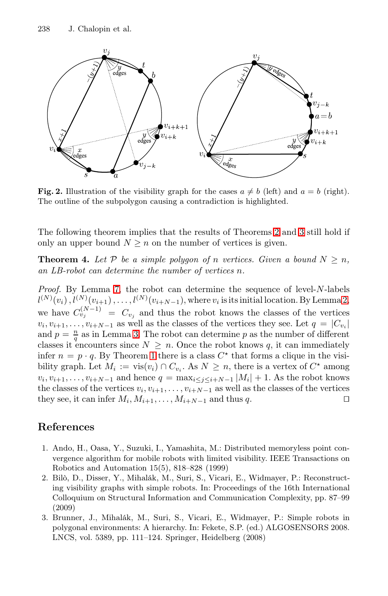<span id="page-9-3"></span>

**Fig. 2.** Illustration of the visibility graph for the cases  $a \neq b$  (left) and  $a = b$  (right). The outline of the subpolygon causing a contradiction is highlighted.

The following theorem implies that the results of Theorems [2](#page-7-0) and [3](#page-7-1) still hold if only an upper bound  $N \geq n$  on the number of vertices is given.

**Theorem 4.** Let P be a simple polygon of n vertices. Given a bound  $N \geq n$ , an LB-robot can determine the number of vertices n.

Proof. By Lemma [7,](#page-6-1) the robot can determine the sequence of level-N-labels  $l^{(N)}(v_i), l^{(N)}(v_{i+1}), \ldots, l^{(N)}(v_{i+N-1}),$  where  $v_i$  is its initial location. By Lemma [2,](#page-4-1) we have  $C_{v_i}^{(N-1)} = C_{v_i}$  and thus the robot knows the classes of the vertices  $v_i, v_{i+1}, \ldots, v_{i+N-1}$  as well as the classes of the vertices they see. Let  $q = |C_{v_i}|$ and  $p = \frac{n}{q}$  as in Lemma [3.](#page-5-2) The robot can determine p as the number of different classes it encounters since  $N \geq n$ . Once the robot knows q, it can immediately infer  $n = p \cdot q$ . By Theorem [1](#page-6-2) there is a class  $C^*$  that forms a clique in the visibility graph. Let  $M_i := \text{vis}(v_i) \cap C_{v_i}$ . As  $N \geq n$ , there is a vertex of  $C^*$  among  $v_i, v_{i+1}, \ldots, v_{i+N-1}$  and hence  $q = \max_{i \leq j \leq i+N-1} |M_i| + 1$ . As the robot knows the classes of the vertices  $v_i, v_{i+1}, \ldots, v_{i+N-1}$  as well as the classes of the vertices they see, it can infer  $M_i, M_{i+1}, \ldots, M_{i+N-1}$  and thus  $q$ . they see, it can infer  $M_i, M_{i+1}, \ldots, M_{i+N-1}$  and thus q.

# <span id="page-9-2"></span><span id="page-9-0"></span>References

- <span id="page-9-1"></span>1. Ando, H., Oasa, Y., Suzuki, I., Yamashita, M.: Distributed memoryless point convergence algorithm for mobile robots with limited visibility. IEEE Transactions on Robotics and Automation 15(5), 818–828 (1999)
- 2. Bilò, D., Disser, Y., Mihalák, M., Suri, S., Vicari, E., Widmayer, P.: Reconstructing visibility graphs with simple robots. In: Proceedings of the 16th International Colloquium on Structural Information and Communication Complexity, pp. 87–99 (2009)
- 3. Brunner, J., Mihalák, M., Suri, S., Vicari, E., Widmayer, P.: Simple robots in polygonal environments: A hierarchy. In: Fekete, S.P. (ed.) ALGOSENSORS 2008. LNCS, vol. 5389, pp. 111–124. Springer, Heidelberg (2008)